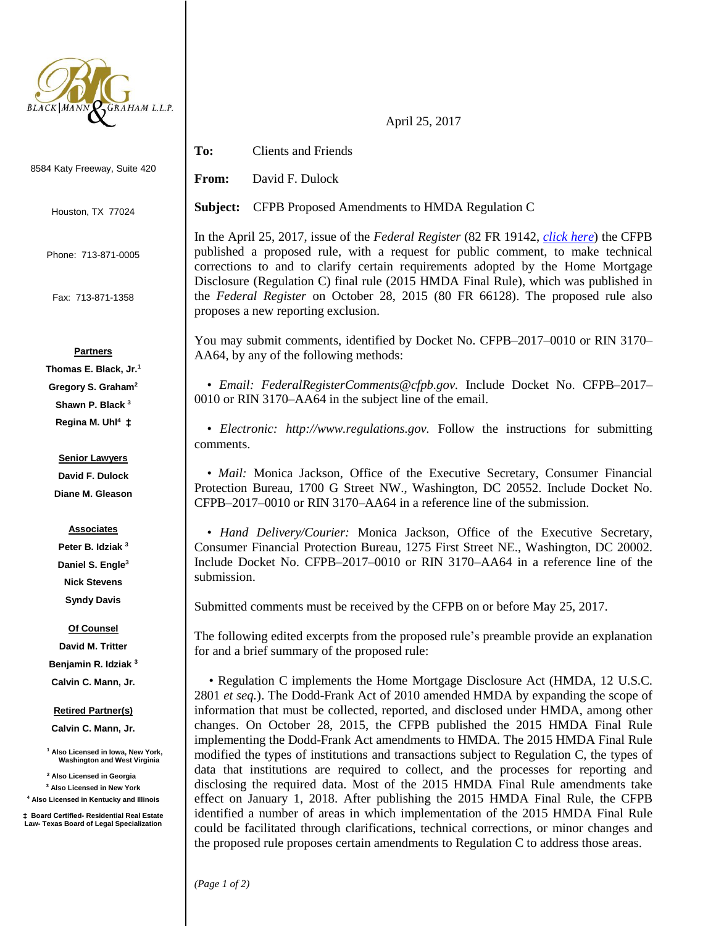

8584 Katy Freeway, Suite 420

Houston, TX 77024

Phone: 713-871-0005

Fax: 713-871-1358

## **Partners**

**Thomas E. Black, Jr.<sup>1</sup> Gregory S. Graham<sup>2</sup> Shawn P. Black <sup>3</sup> Regina M. Uhl<sup>4</sup> ‡**

### **Senior Lawyers**

**David F. Dulock Diane M. Gleason**

#### **Associates**

**Peter B. Idziak <sup>3</sup> Daniel S. Engle<sup>3</sup> Nick Stevens Syndy Davis**

#### **Of Counsel**

**David M. Tritter Benjamin R. Idziak <sup>3</sup> Calvin C. Mann, Jr.**

#### **Retired Partner(s)**

**Calvin C. Mann, Jr.**

**<sup>1</sup> Also Licensed in Iowa, New York, Washington and West Virginia**

**<sup>2</sup> Also Licensed in Georgia**

**<sup>3</sup> Also Licensed in New York**

**<sup>4</sup> Also Licensed in Kentucky and Illinois**

**‡ Board Certified- Residential Real Estate Law- Texas Board of Legal Specialization**

# **To:** Clients and Friends

**From:** David F. Dulock

**Subject:** CFPB Proposed Amendments to HMDA Regulation C

In the April 25, 2017, issue of the *Federal Register* (82 FR 19142, *[click here](https://www.gpo.gov/fdsys/pkg/FR-2017-04-25/pdf/2017-07838.pdf)*) the CFPB published a proposed rule, with a request for public comment, to make technical corrections to and to clarify certain requirements adopted by the Home Mortgage Disclosure (Regulation C) final rule (2015 HMDA Final Rule), which was published in the *Federal Register* on October 28, 2015 (80 FR 66128). The proposed rule also proposes a new reporting exclusion.

April 25, 2017

You may submit comments, identified by Docket No. CFPB–2017–0010 or RIN 3170– AA64, by any of the following methods:

 • *Email: FederalRegisterComments@cfpb.gov.* Include Docket No. CFPB–2017– 0010 or RIN 3170–AA64 in the subject line of the email.

 • *Electronic: http://www.regulations.gov.* Follow the instructions for submitting comments.

 • *Mail:* Monica Jackson, Office of the Executive Secretary, Consumer Financial Protection Bureau, 1700 G Street NW., Washington, DC 20552. Include Docket No. CFPB–2017–0010 or RIN 3170–AA64 in a reference line of the submission.

 • *Hand Delivery/Courier:* Monica Jackson, Office of the Executive Secretary, Consumer Financial Protection Bureau, 1275 First Street NE., Washington, DC 20002. Include Docket No. CFPB–2017–0010 or RIN 3170–AA64 in a reference line of the submission.

Submitted comments must be received by the CFPB on or before May 25, 2017.

The following edited excerpts from the proposed rule's preamble provide an explanation for and a brief summary of the proposed rule:

• Regulation C implements the Home Mortgage Disclosure Act (HMDA, 12 U.S.C. 2801 *et seq.*). The Dodd-Frank Act of 2010 amended HMDA by expanding the scope of information that must be collected, reported, and disclosed under HMDA, among other changes. On October 28, 2015, the CFPB published the 2015 HMDA Final Rule implementing the Dodd-Frank Act amendments to HMDA. The 2015 HMDA Final Rule modified the types of institutions and transactions subject to Regulation C, the types of data that institutions are required to collect, and the processes for reporting and disclosing the required data. Most of the 2015 HMDA Final Rule amendments take effect on January 1, 2018. After publishing the 2015 HMDA Final Rule, the CFPB identified a number of areas in which implementation of the 2015 HMDA Final Rule could be facilitated through clarifications, technical corrections, or minor changes and the proposed rule proposes certain amendments to Regulation C to address those areas.